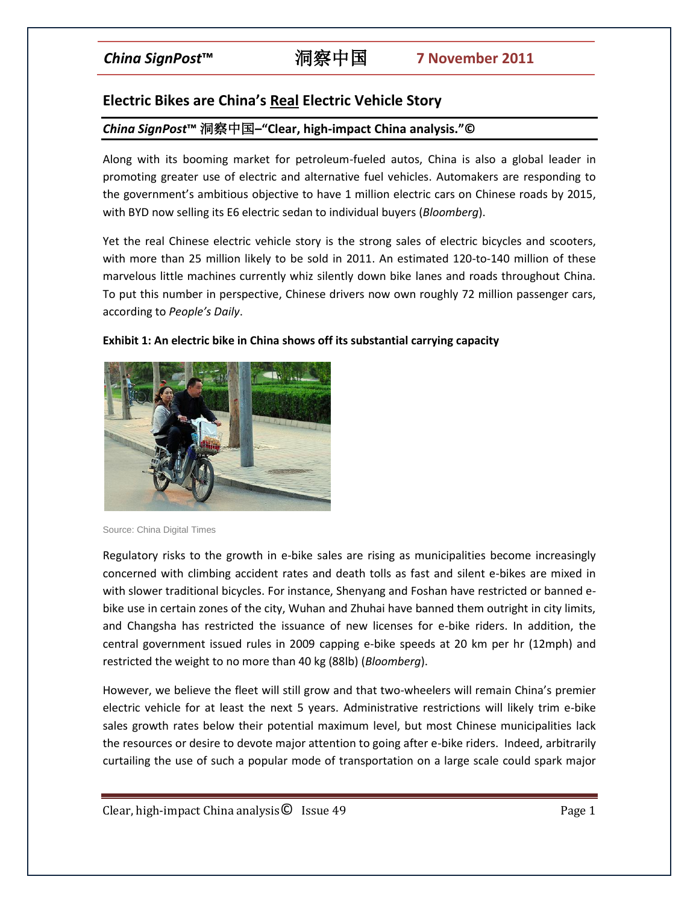# **Electric Bikes are China's Real Electric Vehicle Story**

## *China SignPost***™** 洞察中国**–"Clear, high-impact China analysis."©**

Along with its booming market for petroleum-fueled autos, China is also a global leader in promoting greater use of electric and alternative fuel vehicles. Automakers are responding to the government's ambitious objective to have 1 million electric cars on Chinese roads by 2015, with BYD now selling its E6 electric sedan to individual buyers (*Bloomberg*).

Yet the real Chinese electric vehicle story is the strong sales of electric bicycles and scooters, with more than 25 million likely to be sold in 2011. An estimated 120-to-140 million of these marvelous little machines currently whiz silently down bike lanes and roads throughout China. To put this number in perspective, Chinese drivers now own roughly 72 million passenger cars, according to *People's Daily*.



#### **Exhibit 1: An electric bike in China shows off its substantial carrying capacity**

Regulatory risks to the growth in e-bike sales are rising as municipalities become increasingly concerned with climbing accident rates and death tolls as fast and silent e-bikes are mixed in with slower traditional bicycles. For instance, Shenyang and Foshan have restricted or banned ebike use in certain zones of the city, Wuhan and Zhuhai have banned them outright in city limits, and Changsha has restricted the issuance of new licenses for e-bike riders. In addition, the central government issued rules in 2009 capping e-bike speeds at 20 km per hr (12mph) and restricted the weight to no more than 40 kg (88lb) (*Bloomberg*).

However, we believe the fleet will still grow and that two-wheelers will remain China's premier electric vehicle for at least the next 5 years. Administrative restrictions will likely trim e-bike sales growth rates below their potential maximum level, but most Chinese municipalities lack the resources or desire to devote major attention to going after e-bike riders. Indeed, arbitrarily curtailing the use of such a popular mode of transportation on a large scale could spark major

Source: China Digital Times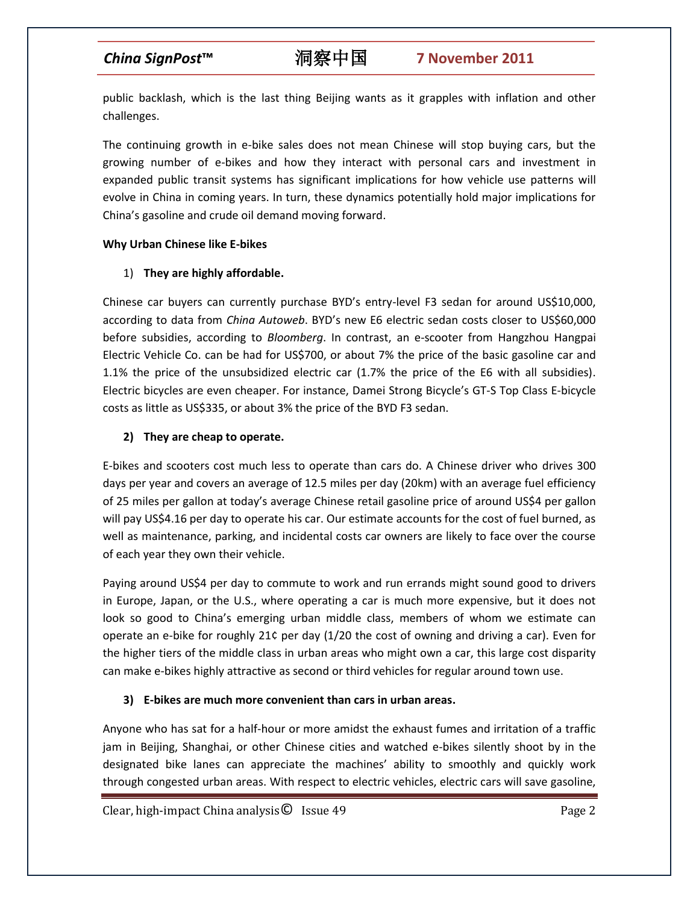public backlash, which is the last thing Beijing wants as it grapples with inflation and other challenges.

The continuing growth in e-bike sales does not mean Chinese will stop buying cars, but the growing number of e-bikes and how they interact with personal cars and investment in expanded public transit systems has significant implications for how vehicle use patterns will evolve in China in coming years. In turn, these dynamics potentially hold major implications for China's gasoline and crude oil demand moving forward.

### **Why Urban Chinese like E-bikes**

## 1) **They are highly affordable.**

Chinese car buyers can currently purchase BYD's entry-level F3 sedan for around US\$10,000, according to data from *China Autoweb*. BYD's new E6 electric sedan costs closer to US\$60,000 before subsidies, according to *Bloomberg*. In contrast, an e-scooter from Hangzhou Hangpai Electric Vehicle Co. can be had for US\$700, or about 7% the price of the basic gasoline car and 1.1% the price of the unsubsidized electric car (1.7% the price of the E6 with all subsidies). Electric bicycles are even cheaper. For instance, Damei Strong Bicycle's GT-S Top Class E-bicycle costs as little as US\$335, or about 3% the price of the BYD F3 sedan.

## **2) They are cheap to operate.**

E-bikes and scooters cost much less to operate than cars do. A Chinese driver who drives 300 days per year and covers an average of 12.5 miles per day (20km) with an average fuel efficiency of 25 miles per gallon at today's average Chinese retail gasoline price of around US\$4 per gallon will pay US\$4.16 per day to operate his car. Our estimate accounts for the cost of fuel burned, as well as maintenance, parking, and incidental costs car owners are likely to face over the course of each year they own their vehicle.

Paying around US\$4 per day to commute to work and run errands might sound good to drivers in Europe, Japan, or the U.S., where operating a car is much more expensive, but it does not look so good to China's emerging urban middle class, members of whom we estimate can operate an e-bike for roughly 21¢ per day (1/20 the cost of owning and driving a car). Even for the higher tiers of the middle class in urban areas who might own a car, this large cost disparity can make e-bikes highly attractive as second or third vehicles for regular around town use.

## **3) E-bikes are much more convenient than cars in urban areas.**

Anyone who has sat for a half-hour or more amidst the exhaust fumes and irritation of a traffic jam in Beijing, Shanghai, or other Chinese cities and watched e-bikes silently shoot by in the designated bike lanes can appreciate the machines' ability to smoothly and quickly work through congested urban areas. With respect to electric vehicles, electric cars will save gasoline,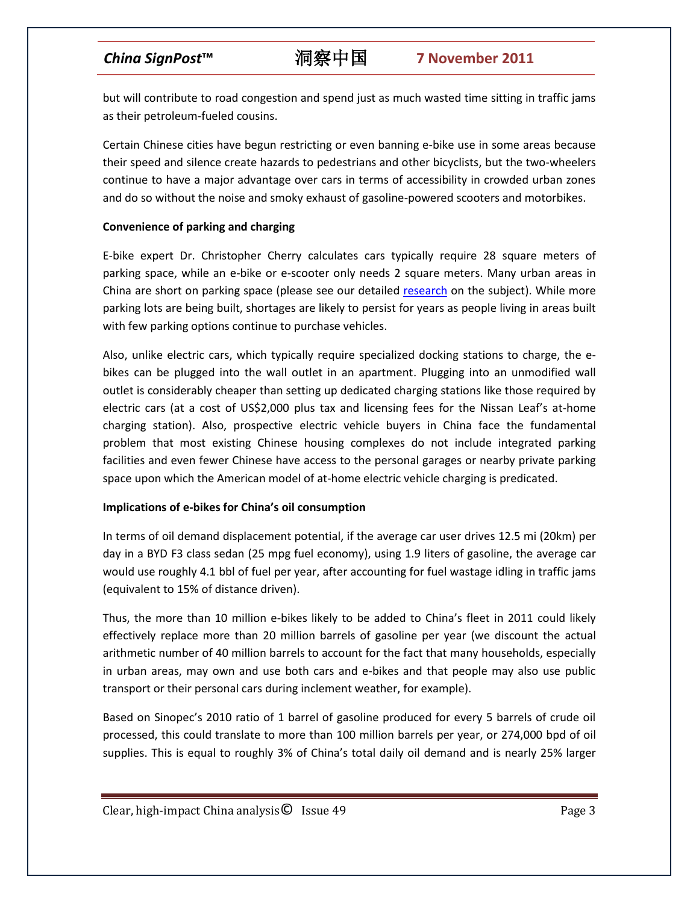but will contribute to road congestion and spend just as much wasted time sitting in traffic jams as their petroleum-fueled cousins.

Certain Chinese cities have begun restricting or even banning e-bike use in some areas because their speed and silence create hazards to pedestrians and other bicyclists, but the two-wheelers continue to have a major advantage over cars in terms of accessibility in crowded urban zones and do so without the noise and smoky exhaust of gasoline-powered scooters and motorbikes.

### **Convenience of parking and charging**

E-bike expert Dr. Christopher Cherry calculates cars typically require 28 square meters of parking space, while an e-bike or e-scooter only needs 2 square meters. Many urban areas in China are short on parking space (please see our detailed [research](http://www.chinasignpost.com/2011/01/dying-for-a-spot-china%E2%80%99s-car-ownership-growth-is-driving-a-national-parking-space-shortage/) on the subject). While more parking lots are being built, shortages are likely to persist for years as people living in areas built with few parking options continue to purchase vehicles.

Also, unlike electric cars, which typically require specialized docking stations to charge, the ebikes can be plugged into the wall outlet in an apartment. Plugging into an unmodified wall outlet is considerably cheaper than setting up dedicated charging stations like those required by electric cars (at a cost of US\$2,000 plus tax and licensing fees for the Nissan Leaf's at-home charging station). Also, prospective electric vehicle buyers in China face the fundamental problem that most existing Chinese housing complexes do not include integrated parking facilities and even fewer Chinese have access to the personal garages or nearby private parking space upon which the American model of at-home electric vehicle charging is predicated.

### **Implications of e-bikes for China's oil consumption**

In terms of oil demand displacement potential, if the average car user drives 12.5 mi (20km) per day in a BYD F3 class sedan (25 mpg fuel economy), using 1.9 liters of gasoline, the average car would use roughly 4.1 bbl of fuel per year, after accounting for fuel wastage idling in traffic jams (equivalent to 15% of distance driven).

Thus, the more than 10 million e-bikes likely to be added to China's fleet in 2011 could likely effectively replace more than 20 million barrels of gasoline per year (we discount the actual arithmetic number of 40 million barrels to account for the fact that many households, especially in urban areas, may own and use both cars and e-bikes and that people may also use public transport or their personal cars during inclement weather, for example).

Based on Sinopec's 2010 ratio of 1 barrel of gasoline produced for every 5 barrels of crude oil processed, this could translate to more than 100 million barrels per year, or 274,000 bpd of oil supplies. This is equal to roughly 3% of China's total daily oil demand and is nearly 25% larger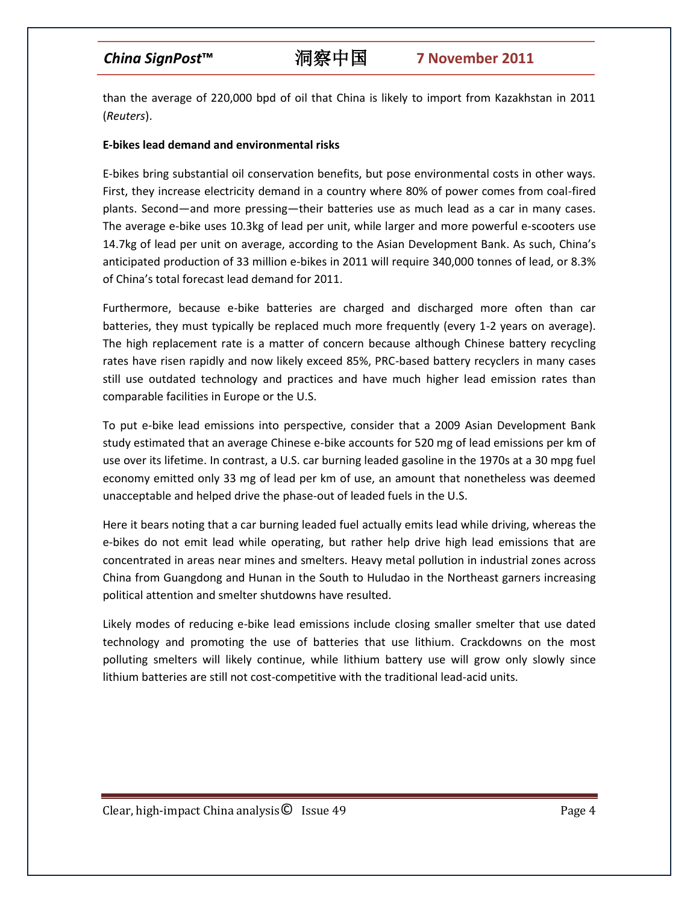than the average of 220,000 bpd of oil that China is likely to import from Kazakhstan in 2011 (*Reuters*).

### **E-bikes lead demand and environmental risks**

E-bikes bring substantial oil conservation benefits, but pose environmental costs in other ways. First, they increase electricity demand in a country where 80% of power comes from coal-fired plants. Second—and more pressing—their batteries use as much lead as a car in many cases. The average e-bike uses 10.3kg of lead per unit, while larger and more powerful e-scooters use 14.7kg of lead per unit on average, according to the Asian Development Bank. As such, China's anticipated production of 33 million e-bikes in 2011 will require 340,000 tonnes of lead, or 8.3% of China's total forecast lead demand for 2011.

Furthermore, because e-bike batteries are charged and discharged more often than car batteries, they must typically be replaced much more frequently (every 1-2 years on average). The high replacement rate is a matter of concern because although Chinese battery recycling rates have risen rapidly and now likely exceed 85%, PRC-based battery recyclers in many cases still use outdated technology and practices and have much higher lead emission rates than comparable facilities in Europe or the U.S.

To put e-bike lead emissions into perspective, consider that a 2009 Asian Development Bank study estimated that an average Chinese e-bike accounts for 520 mg of lead emissions per km of use over its lifetime. In contrast, a U.S. car burning leaded gasoline in the 1970s at a 30 mpg fuel economy emitted only 33 mg of lead per km of use, an amount that nonetheless was deemed unacceptable and helped drive the phase-out of leaded fuels in the U.S.

Here it bears noting that a car burning leaded fuel actually emits lead while driving, whereas the e-bikes do not emit lead while operating, but rather help drive high lead emissions that are concentrated in areas near mines and smelters. Heavy metal pollution in industrial zones across China from Guangdong and Hunan in the South to Huludao in the Northeast garners increasing political attention and smelter shutdowns have resulted.

Likely modes of reducing e-bike lead emissions include closing smaller smelter that use dated technology and promoting the use of batteries that use lithium. Crackdowns on the most polluting smelters will likely continue, while lithium battery use will grow only slowly since lithium batteries are still not cost-competitive with the traditional lead-acid units.